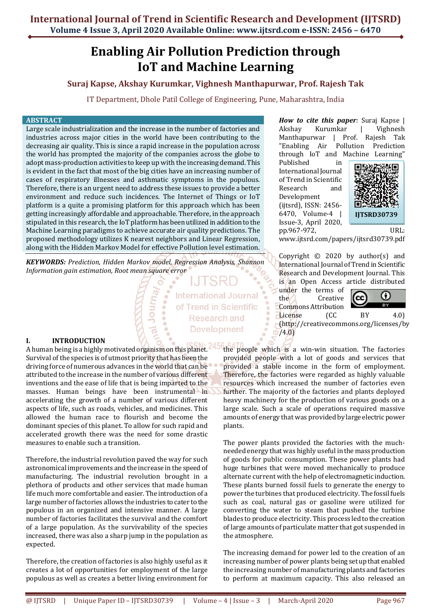# **Enabling Air Pollution Prediction through IoT and Machine Learning**

# **Suraj Kapse, Akshay Kurumkar, Vighnesh Manthapurwar, Prof. Rajesh Tak**

IT Department, Dhole Patil College of Engineering, Pune, Maharashtra, India

#### **ABSTRACT**

Large scale industrialization and the increase in the number of factories and industries across major cities in the world have been contributing to the decreasing air quality. This is since a rapid increase in the population across the world has prompted the majority of the companies across the globe to adopt mass-production activities to keep up with the increasing demand. This is evident in the fact that most of the big cities have an increasing number of cases of respiratory illnesses and asthmatic symptoms in the populous. Therefore, there is an urgent need to address these issues to provide a better environment and reduce such incidences. The Internet of Things or IoT platform is a quite a promising platform for this approach which has been getting increasingly affordable and approachable. Therefore, in the approach stipulated in this research, the IoT platform has been utilized in addition to the Machine Learning paradigms to achieve accurate air quality predictions. The proposed methodology utilizes K nearest neighbors and Linear Regression, along with the Hidden Markov Model for effective Pollution level estimation.

*KEYWORDS: Prediction, Hidden Markov model, Regression Analysis, Shannon Information gain estimation, Root mean square error*

Journ

**International Journal** of Trend in Scientific **Research and Development** 

#### **I. INTRODUCTION**

A human being is a highly motivated organism on this planet. Survival of the species is of utmost priority that has been the driving force of numerous advances in the world that can be attributed to the increase in the number of various different inventions and the ease of life that is being imparted to the masses. Human beings have been instrumental in accelerating the growth of a number of various different aspects of life, such as roads, vehicles, and medicines. This allowed the human race to flourish and become the dominant species of this planet. To allow for such rapid and accelerated growth there was the need for some drastic measures to enable such a transition.

Therefore, the industrial revolution paved the way for such astronomical improvements and the increase in the speed of manufacturing. The industrial revolution brought in a plethora of products and other services that made human life much more comfortable and easier. The introduction of a large number of factories allows the industries to cater to the populous in an organized and intensive manner. A large number of factories facilitates the survival and the comfort of a large population. As the survivability of the species increased, there was also a sharp jump in the population as expected.

Therefore, the creation of factories is also highly useful as it creates a lot of opportunities for employment of the large populous as well as creates a better living environment for

*How to cite this paper:* Suraj Kapse | Akshay Kurumkar | Vighnesh Manthapurwar | Prof. Rajesh Tak "Enabling Air Pollution Prediction through IoT and Machine Learning"

Published in International Journal of Trend in Scientific Research and Development (ijtsrd), ISSN: 2456- 6470, Volume-4 | Issue-3, April 2020,



pp.967-972, URL: www.ijtsrd.com/papers/ijtsrd30739.pdf

Copyright  $\odot$  2020 by author(s) and International Journal of Trend in Scientific Research and Development Journal. This is an Open Access article distributed

under the terms of the Creative Commons Attribution License (CC BY 4.0)



(http://creativecommons.org/licenses/by /4.0)

the people which is a win-win situation. The factories provided people with a lot of goods and services that provided a stable income in the form of employment. Therefore, the factories were regarded as highly valuable resources which increased the number of factories even further. The majority of the factories and plants deployed heavy machinery for the production of various goods on a large scale. Such a scale of operations required massive amounts of energy that was provided by large electric power plants.

The power plants provided the factories with the muchneeded energy that was highly useful in the mass production of goods for public consumption. These power plants had huge turbines that were moved mechanically to produce alternate current with the help of electromagnetic induction. These plants burned fossil fuels to generate the energy to power the turbines that produced electricity. The fossil fuels such as coal, natural gas or gasoline were utilized for converting the water to steam that pushed the turbine blades to produce electricity. This process led to the creation of large amounts of particulate matter that got suspended in the atmosphere.

The increasing demand for power led to the creation of an increasing number of power plants being set up that enabled the increasing number of manufacturing plants and factories to perform at maximum capacity. This also released an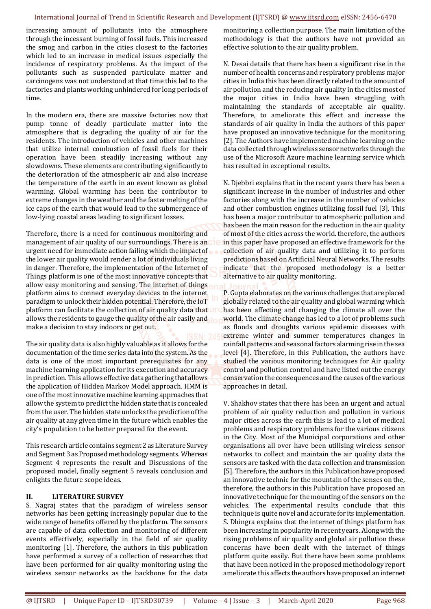#### International Journal of Trend in Scientific Research and Development (IJTSRD) @ www.ijtsrd.com eISSN: 2456-6470

increasing amount of pollutants into the atmosphere through the incessant burning of fossil fuels. This increased the smog and carbon in the cities closest to the factories which led to an increase in medical issues especially the incidence of respiratory problems. As the impact of the pollutants such as suspended particulate matter and carcinogens was not understood at that time this led to the factories and plants working unhindered for long periods of time.

In the modern era, there are massive factories now that pump tonne of deadly particulate matter into the atmosphere that is degrading the quality of air for the residents. The introduction of vehicles and other machines that utilize internal combustion of fossil fuels for their operation have been steadily increasing without any slowdowns. These elements are contributing significantly to the deterioration of the atmospheric air and also increase the temperature of the earth in an event known as global warming. Global warming has been the contributor to extreme changes in the weather and the faster melting of the ice caps of the earth that would lead to the submergence of low-lying coastal areas leading to significant losses.

Therefore, there is a need for continuous monitoring and management of air quality of our surroundings. There is an urgent need for immediate action failing which the impact of the lower air quality would render a lot of individuals living in danger. Therefore, the implementation of the Internet of Things platform is one of the most innovative concepts that allow easy monitoring and sensing. The internet of things platform aims to connect everyday devices to the internet paradigm to unlock their hidden potential. Therefore, the IoT platform can facilitate the collection of air quality data that allows the residents to gauge the quality of the air easily and  $\Box$ make a decision to stay indoors or get out.

The air quality data is also highly valuable as it allows for the documentation of the time series data into the system. As the data is one of the most important prerequisites for any machine learning application for its execution and accuracy in prediction. This allows effective data gathering that allows the application of Hidden Markov Model approach. HMM is one of the most innovative machine learning approaches that allow the system to predict the hidden state that is concealed from the user. The hidden state unlocks the prediction of the air quality at any given time in the future which enables the city's population to be better prepared for the event.

This research article contains segment 2 as Literature Survey and Segment 3 as Proposed methodology segments. Whereas Segment 4 represents the result and Discussions of the proposed model, finally segment 5 reveals conclusion and enlights the future scope ideas.

### **II. LITERATURE SURVEY**

S. Nagraj states that the paradigm of wireless sensor networks has been getting increasingly popular due to the wide range of benefits offered by the platform. The sensors are capable of data collection and monitoring of different events effectively, especially in the field of air quality monitoring [1]. Therefore, the authors in this publication have performed a survey of a collection of researches that have been performed for air quality monitoring using the wireless sensor networks as the backbone for the data

monitoring a collection purpose. The main limitation of the methodology is that the authors have not provided an effective solution to the air quality problem.

N. Desai details that there has been a significant rise in the number of health concerns and respiratory problems major cities in India this has been directly related to the amount of air pollution and the reducing air quality in the cities most of the major cities in India have been struggling with maintaining the standards of acceptable air quality. Therefore, to ameliorate this effect and increase the standards of air quality in India the authors of this paper have proposed an innovative technique for the monitoring [2]. The Authors have implemented machine learning on the data collected through wireless sensor networks through the use of the Microsoft Azure machine learning service which has resulted in exceptional results.

N. Djebbri explains that in the recent years there has been a significant increase in the number of industries and other factories along with the increase in the number of vehicles and other combustion engines utilizing fossil fuel [3]. This has been a major contributor to atmospheric pollution and has been the main reason for the reduction in the air quality of most of the cities across the world. therefore, the authors in this paper have proposed an effective framework for the collection of air quality data and utilizing it to perform predictions based on Artificial Neural Networks. The results indicate that the proposed methodology is a better alternative to air quality monitoring.

P. Gupta elaborates on the various challenges that are placed globally related to the air quality and global warming which has been affecting and changing the climate all over the world. The climate change has led to a lot of problems such as floods and droughts various epidemic diseases with extreme winter and summer temperatures changes in rainfall patterns and seasonal factors alarming rise in the sea level [4]. Therefore, in this Publication, the authors have studied the various monitoring techniques for Air quality control and pollution control and have listed out the energy conservation the consequences and the causes of the various approaches in detail.

V. Shakhov states that there has been an urgent and actual problem of air quality reduction and pollution in various major cities across the earth this is lead to a lot of medical problems and respiratory problems for the various citizens in the City. Most of the Municipal corporations and other organisations all over have been utilising wireless sensor networks to collect and maintain the air quality data the sensors are tasked with the data collection and transmission [5]. Therefore, the authors in this Publication have proposed an innovative technic for the mountain of the senses on the, therefore, the authors in this Publication have proposed an innovative technique for the mounting of the sensors on the vehicles. The experimental results conclude that this technique is quite novel and accurate for its implementation. S. Dhingra explains that the internet of things platform has been increasing in popularity in recent years. Along with the rising problems of air quality and global air pollution these concerns have been dealt with the internet of things platform quite easily. But there have been some problems that have been noticed in the proposed methodology report ameliorate this affects the authors have proposed an internet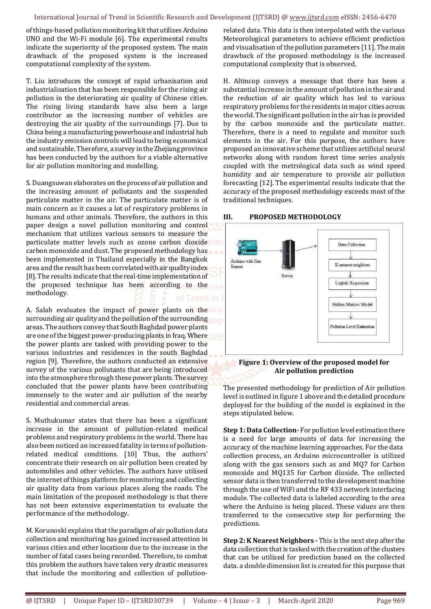#### International Journal of Trend in Scientific Research and Development (IJTSRD) @ www.ijtsrd.com eISSN: 2456-6470

of things-based pollution monitoring kit that utilizes Arduino UNO and the Wi-Fi module [6]. The experimental results indicate the superiority of the proposed system. The main drawback of the proposed system is the increased computational complexity of the system.

T. Liu introduces the concept of rapid urbanisation and industrialisation that has been responsible for the rising air pollution in the deteriorating air quality of Chinese cities. The rising living standards have also been a large contributor as the increasing number of vehicles are destroying the air quality of the surroundings [7]. Due to China being a manufacturing powerhouse and industrial hub the industry emission controls will lead to being economical and sustainable. Therefore, a survey in the Zhejiang province has been conducted by the authors for a viable alternative for air pollution monitoring and modelling.

S. Duangsuwan elaborates on the process of air pollution and the increasing amount of pollutants and the suspended particulate matter in the air. The particulate matter is of main concern as it causes a lot of respiratory problems in humans and other animals. Therefore, the authors in this paper design a novel pollution monitoring and control mechanism that utilizes various sensors to measure the particulate matter levels such as ozone carbon dioxidecte carbon monoxide and dust. The proposed methodology has been implemented in Thailand especially in the Bangkok area and the result has been correlated with air quality index [8]. The results indicate that the real-time implementation of the proposed technique has been according to the one methodology.

A. Salah evaluates the impact of power plants on the arc surrounding air quality and the pollution of the surrounding. lop areas. The authors convey that South Baghdad power plants are one of the biggest power-producing plants in Iraq. Where 2456 the power plants are tasked with providing power to the various industries and residences in the south Baghdad region [9]. Therefore, the authors conducted an extensive survey of the various pollutants that are being introduced into the atmosphere through these power plants. The survey concluded that the power plants have been contributing immensely to the water and air pollution of the nearby residential and commercial areas.

S. Muthukumar states that there has been a significant increase in the amount of pollution-related medical problems and respiratory problems in the world. There has also been noticed an increased fatality in terms of pollutionrelated medical conditions. [10] Thus, the authors' concentrate their research on air pollution been created by automobiles and other vehicles. The authors have utilised the internet of things platform for monitoring and collecting air quality data from various places along the roads. The main limitation of the proposed methodology is that there has not been extensive experimentation to evaluate the performance of the methodology.

M. Korunoski explains that the paradigm of air pollution data collection and monitoring has gained increased attention in various cities and other locations due to the increase in the number of fatal cases being recorded. Therefore, to combat this problem the authors have taken very drastic measures that include the monitoring and collection of pollutionrelated data. This data is then interpolated with the various Meteorological parameters to achieve efficient prediction and visualisation of the pollution parameters [11]. The main drawback of the proposed methodology is the increased computational complexity that is observed.

H. Altincop conveys a message that there has been a substantial increase in the amount of pollution in the air and the reduction of air quality which has led to various respiratory problems for the residents in major cities across the world. The significant pollution in the air has is provided by the carbon monoxide and the particulate matter. Therefore, there is a need to regulate and monitor such elements in the air. For this purpose, the authors have proposed an innovative scheme that utilizes artificial neural networks along with random forest time series analysis coupled with the metrological data such as wind speed humidity and air temperature to provide air pollution forecasting [12]. The experimental results indicate that the accuracy of the proposed methodology exceeds most of the traditional techniques.

#### **III. PROPOSED METHODOLOGY**



#### **Figure 1: Overview of the proposed model for Air pollution prediction**

The presented methodology for prediction of Air pollution level is outlined in figure 1 above and the detailed procedure deployed for the building of the model is explained in the steps stipulated below.

**Step 1: Data Collection-** For pollution level estimation there is a need for large amounts of data for increasing the accuracy of the machine learning approaches. For the data collection process, an Arduino microcontroller is utilized along with the gas sensors such as and MQ7 for Carbon monoxide and MQ135 for Carbon dioxide. The collected sensor data is then transferred to the development machine through the use of WiFi and the RF 433 network interfacing module. The collected data is labeled according to the area where the Arduino is being placed. These values are then transferred to the consecutive step for performing the predictions.

**Step 2: K Nearest Neighbors -** This is the next step after the data collection that is tasked with the creation of the clusters that can be utilized for prediction based on the collected data. a double dimension list is created for this purpose that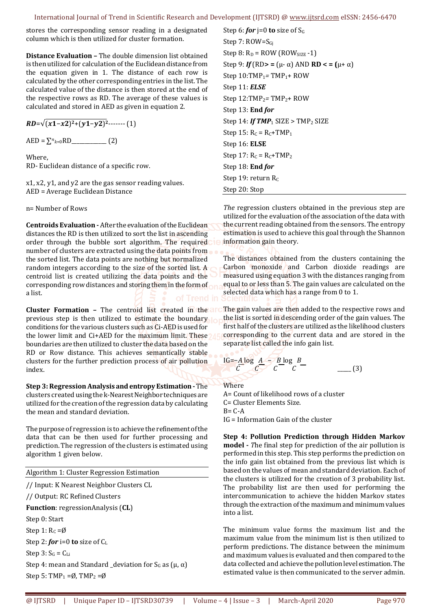stores the corresponding sensor reading in a designated column which is then utilized for cluster formation.

**Distance Evaluation –** The double dimension list obtained is then utilized for calculation of the Euclidean distance from the equation given in 1. The distance of each row is calculated by the other corresponding entries in the list. The calculated value of the distance is then stored at the end of the respective rows as RD. The average of these values is calculated and stored in AED as given in equation 2.

 $RD = \sqrt{(x1-x2)^2 + (y1-y2)^2 + \cdots}$  (1)

 $AED = \sum_{k=0}^{n} RD$ <sub>\_\_\_\_\_\_\_\_\_\_\_\_\_\_\_\_</sub> (2)

Where, RD- Euclidean distance of a specific row.

x1, x2, y1, and y2 are the gas sensor reading values. AED = Average Euclidean Distance

n= Number of Rows

**Centroids Evaluation -** After the evaluation of the Euclidean distances the RD is then utilized to sort the list in ascending order through the bubble sort algorithm. The required number of clusters are extracted using the data points from the sorted list. The data points are nothing but normalized random integers according to the size of the sorted list. A centroid list is created utilizing the data points and the corresponding row distances and storing them in the form of a list.

**Cluster Formation -** The centroid list created in the art previous step is then utilized to estimate the boundary. conditions for the various clusters such as Ci-AED is used for the lower limit and Ci+AED for the maximum limit. These? boundaries are then utilized to cluster the data based on the RD or Row distance. This achieves semantically stable clusters for the further prediction process of air pollution index.

**Step 3: Regression Analysis and entropy Estimation -** The clusters created using the k-Nearest Neighbor techniques are utilized for the creation of the regression data by calculating the mean and standard deviation.

The purpose of regression is to achieve the refinement of the data that can be then used for further processing and prediction. The regression of the clusters is estimated using algorithm 1 given below.

Algorithm 1: Cluster Regression Estimation

// Input: K Nearest Neighbor Clusters CL // Output: RC Refined Clusters **Function**: regressionAnalysis (**CL**) Step 0: Start Step 1:  $R_C = \emptyset$ Step 2: *for* i=0 **to** size of C<sup>L</sup> Step  $3: S_G = C_{Li}$ Step 4: mean and Standard \_deviation for  $S_G$  as ( $\mu$ ,  $\alpha$ ) Step 5: TMP<sub>1</sub> =  $\emptyset$ , TMP<sub>2</sub> =  $\emptyset$ 

Step 6: *for*  $i=0$  **to** size of  $S_G$ Step 7: ROW=S<sub>Gi</sub> Step 8:  $R_D = ROW (ROW_{SIZE} -1)$ Step 9:  $If (RD > = (\mu - \alpha)$  AND **RD** < =  $(\mu + \alpha)$ Step 10:TMP1*=* TMP1+ ROW Step 11: *ELSE*  Step 12:TMP2*=* TMP2+ ROW Step 13: **End** *for*  Step 14:  $If$  TMP<sub>1</sub> SIZE > TMP<sub>2</sub> SIZE Step 15:  $R_C = R_C + TMP_1$ Step 16: **ELSE**  Step 17:  $R_C = R_C + TMP_2$ Step 18: **End** *for*  Step 19: return Rc Step 20: Stop

*The* regression clusters obtained in the previous step are utilized for the evaluation of the association of the data with the current reading obtained from the sensors. The entropy estimation is used to achieve this goal through the Shannon information gain theory.

The distances obtained from the clusters containing the Carbon monoxide and Carbon dioxide readings are measured using equation 3 with the distances ranging from equal to or less than 5. The gain values are calculated on the selected data which has a range from 0 to 1.

The gain values are then added to the respective rows and the list is sorted in descending order of the gain values. The first half of the clusters are utilized as the likelihood clusters corresponding to the current data and are stored in the separate list called the info gain list.

IG=-
$$
\frac{A \log A}{C} = \frac{B \log B}{C} =
$$
 (3)

**Where** 

A= Count of likelihood rows of a cluster C= Cluster Elements Size.  $R - C - \Delta$ IG = Information Gain of the cluster

**Step 4: Pollution Prediction through Hidden Markov model -** *T*he final step for prediction of the air pollution is performed in this step. This step performs the prediction on the info gain list obtained from the previous list which is based on the values of mean and standard deviation. Each of the clusters is utilized for the creation of 3 probability list. The probability list are then used for performing the intercommunication to achieve the hidden Markov states through the extraction of the maximum and minimum values into a list.

The minimum value forms the maximum list and the maximum value from the minimum list is then utilized to perform predictions. The distance between the minimum and maximum values is evaluated and then compared to the data collected and achieve the pollution level estimation. The estimated value is then communicated to the server admin.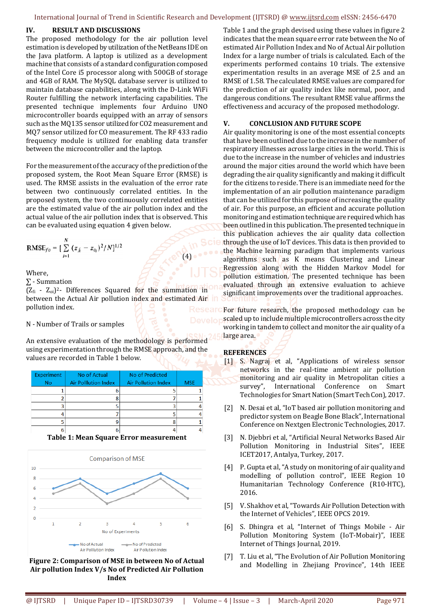#### **IV. RESULT AND DISCUSSIONS**

The proposed methodology for the air pollution level estimation is developed by utilization of the NetBeans IDE on the Java platform. A laptop is utilized as a development machine that consists of a standard configuration composed of the Intel Core i5 processor along with 500GB of storage and 4GB of RAM. The MySQL database server is utilized to maintain database capabilities, along with the D-Link WiFi Router fulfilling the network interfacing capabilities. The presented technique implements four Arduino UNO microcontroller boards equipped with an array of sensors such as the MQ135 sensor utilized for CO2 measurement and MQ7 sensor utilized for CO measurement. The RF 433 radio frequency module is utilized for enabling data transfer between the microcontroller and the laptop.

For the measurement of the accuracy of the prediction of the proposed system, the Root Mean Square Error (RMSE) is used. The RMSE assists in the evaluation of the error rate between two continuously correlated entities. In the proposed system, the two continuously correlated entities are the estimated value of the air pollution index and the actual value of the air pollution index that is observed. This can be evaluated using equation 4 given below.

RMSE<sub>fo</sub> = 
$$
\left[\sum_{i=1}^{N} (z_{f_i} - z_{o_i})^2 / N\right]^{1/2}
$$

Where,

∑ - Summation

 $(Z_{\rm fi} - Z_{\rm oil})^2$ - Differences Squared for the summation in between the Actual Air pollution index and estimated Air in pollution index.

 $\mathcal{L}$  (4)

#### N - Number of Trails or samples

An extensive evaluation of the methodology is performed using experimentation through the RMSE approach, and the values are recorded in Table 1 below.

| Experiment<br><b>No</b> | No of Actual<br><b>Air Polllution Index</b> | No of Predicted<br><b>Air Pollution Index</b> | <b>MSE</b> |
|-------------------------|---------------------------------------------|-----------------------------------------------|------------|
|                         |                                             |                                               |            |
|                         |                                             |                                               |            |
|                         |                                             |                                               |            |
|                         |                                             |                                               |            |
|                         |                                             |                                               |            |
|                         |                                             |                                               |            |

**Table 1: Mean Square Error measurement**



**Figure 2: Comparison of MSE in between No of Actual Air pollution Index V/s No of Predicted Air Pollution Index**

Table 1 and the graph devised using these values in figure 2 indicates that the mean square error rate between the No of estimated Air Pollution Index and No of Actual Air pollution Index for a large number of trials is calculated. Each of the experiments performed contains 10 trials. The extensive experimentation results in an average MSE of 2.5 and an RMSE of 1.58. The calculated RMSE values are compared for the prediction of air quality index like normal, poor, and dangerous conditions. The resultant RMSE value affirms the effectiveness and accuracy of the proposed methodology.

## **V. CONCLUSION AND FUTURE SCOPE**

Air quality monitoring is one of the most essential concepts that have been outlined due to the increase in the number of respiratory illnesses across large cities in the world. This is due to the increase in the number of vehicles and industries around the major cities around the world which have been degrading the air quality significantly and making it difficult for the citizens to reside. There is an immediate need for the implementation of an air pollution maintenance paradigm that can be utilized for this purpose of increasing the quality of air. For this purpose, an efficient and accurate pollution monitoring and estimation technique are required which has been outlined in this publication. The presented technique in this publication achieves the air quality data collection through the use of IoT devices. This data is then provided to the Machine learning paradigm that implements various algorithms such as K means Clustering and Linear Regression along with the Hidden Markov Model for pollution estimation. The presented technique has been evaluated through an extensive evaluation to achieve significant improvements over the traditional approaches.

For future research, the proposed methodology can be scaled up to include multiple microcontrollers across the city working in tandem to collect and monitor the air quality of a large area.

## **REFERENCES**

- [1] S. Nagraj et al, "Applications of wireless sensor networks in the real-time ambient air pollution monitoring and air quality in Metropolitan cities a survey", International Conference on Smart Technologies for Smart Nation (Smart Tech Con), 2017.
- [2] N. Desai et al, "IoT based air pollution monitoring and predictor system on Beagle Bone Black", International Conference on Nextgen Electronic Technologies, 2017.
- [3] N. Djebbri et al, "Artificial Neural Networks Based Air Pollution Monitoring in Industrial Sites", IEEE ICET2017, Antalya, Turkey, 2017.
- [4] P. Gupta et al, "A study on monitoring of air quality and modelling of pollution control", IEEE Region 10 Humanitarian Technology Conference (R10-HTC), 2016.
- [5] V. Shakhov et al, "Towards Air Pollution Detection with the Internet of Vehicles", IEEE OPCS 2019.
- [6] S. Dhingra et al, "Internet of Things Mobile Air Pollution Monitoring System (IoT-Mobair)", IEEE Internet of Things Journal, 2019.
- [7] T. Liu et al, "The Evolution of Air Pollution Monitoring and Modelling in Zhejiang Province", 14th IEEE